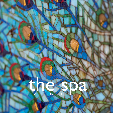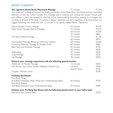#### **BODY THERAPY**

**Our signature Roma Stone Placement Massage 75 minutes** R1320 This treatment is designed around the healing properties of the Basalt Rock Hot Stone and the nourishing elements of the Soy Lotion Candle. This massage aids in relaxing and reviving the tissues. Muscle pain and stiffness in joints are repaired by the heat of the stone enabling blood flow, passing on of oxygen and nutrients to all parts of the body. To achieve a deeper relaxation and aid in regulation of blood pressure, we suggest following your treatment with 15 minutes in our gently heated Roman Tepidarium.

| Deluxe Aquatic Aroma massage                                                           | 90 minutes     | RI250            |
|----------------------------------------------------------------------------------------|----------------|------------------|
| Deep Tissue Massage (Sports Massage)                                                   | 75 minutes     | RI250            |
|                                                                                        | 60 minutes     | R1050            |
|                                                                                        | 45 minutes     | R850             |
| The Spa Full Body Massage                                                              | 75 minutes     | R1100            |
|                                                                                        | 60 minutes     | R950             |
| Aromaceane Massage (Relaxing / Slimming / Detox)                                       | 60 minutes     | R1050            |
| Nurturing Maternity Massage for Mother-to-Be                                           | 60 minutes     | R980             |
| Back, Neck and Shoulder Massage                                                        | 45 minutes     | R750             |
|                                                                                        | 30 minutes     | R650             |
| Reflexology                                                                            | 45 minutes     | R620             |
| Scalp Massage                                                                          | 30 minutes     | R420             |
| Leg Massage                                                                            | 30 minutes     | R420             |
| Enhance your massage experience with the following special touches:                    |                |                  |
| Additional 15 Minutes Massage                                                          | 15 minutes     | R <sub>250</sub> |
| Hot Stones / Soy Lotion Candle / Bellabaci Silicone Cup                                | Full Body      | R <sub>200</sub> |
|                                                                                        | Specific Areas | R <sub>150</sub> |
| Couples / Partners room                                                                |                | R100             |
| <b>Purifying Spa Rituals</b>                                                           |                |                  |
| Pure Body Wrap                                                                         |                |                  |
| (Full Body Exfoliation, Body Wrap and a Hydrotherapy Bath)                             | 60 minutes     | R750             |
| Pure Body Balance                                                                      |                |                  |
| (Full Body Exfoliation and a Hydrotherapy Bath)                                        | 45 minutes     | R500             |
| Enhance your Purifying Spa Ritual with the following special touch to your hydro bath: |                |                  |
| Red Wine Anti-oxidant Bath                                                             |                | R <sub>220</sub> |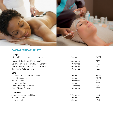

### **FACIAL TREATMENTS**

#### **Thalgo**

| Silicium Marine (Advanced anti-ageing)                                                                                                                      | 75 minutes                                                                       | R <sub>2050</sub>                               |
|-------------------------------------------------------------------------------------------------------------------------------------------------------------|----------------------------------------------------------------------------------|-------------------------------------------------|
| Source Marine Ritual (Dehydrated)<br>Cold Cream Marine Ritual (Dry / Sensitive)<br>Purete' Marine Ritual (Oily/Combination)<br>Illuminating Radiance Facial | 60 minutes<br>60 minutes<br>60 minutes<br>30 minutes                             | R780<br>R780<br>R780<br>R <sub>520</sub>        |
| OMS<br>Collagen Rejuvenation Treatment<br>Neo-Tissuedermie<br>Activator Facial<br>Urban Repair Facial<br>Deep Cleansing Treatment<br>Deep Cleanse Express   | 90 minutes<br>90 minutes<br>60 minutes<br>45 minutes<br>45 minutes<br>30 minutes | RI 150<br>R1150<br>R990<br>R935<br>R880<br>R585 |
| <b>Theravine</b><br>Advanced Cellular Gold Facial<br><b>Hydration Facial</b><br>Mature Facial                                                               | 90 minutes<br>60 minutes<br>60 minutes                                           | R850<br>R690<br>R690                            |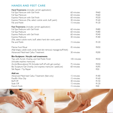## **HANDS AND FEET CARE**

| Hand Treatments (includes varnish application)                                                |                          |                  |
|-----------------------------------------------------------------------------------------------|--------------------------|------------------|
| Full Spa Manicure with Gel Finish                                                             | 60 minutes               | R460             |
| Full Spa Manicure                                                                             | 60 minutes               | R360             |
| Express Manicure with Gel Finish                                                              | 60 minutes               | R320             |
| Express Manicure (File, select cuticle work, buff, paint)                                     | 30 minutes               | R160             |
| File and Polish                                                                               | 15 minutes               | R120             |
| Feet Treatments (includes varnish application)                                                |                          |                  |
| Full Spa Pedicure with Gel Finish                                                             | 60 minutes               | R480             |
| Full Spa Pedicure                                                                             | 60 minutes               | R380             |
| Express Pedicure with Gel Finish                                                              | 60 minutes               | R340             |
| <b>Express Pedicure</b>                                                                       | 30 minutes               | R180             |
| (File, select cuticle work, buff, select hard skin work, paint)                               |                          |                  |
| File and Polish                                                                               | 15 minutes               | R120             |
| Marine Foot Ritual                                                                            | 45 minutes               | R450             |
| (Nail shape, cuticle work, scrub, hard skin removal, massage-buff finish)                     |                          |                  |
| Advanced Medi-heel Callus Treatment                                                           | 30 minutes               | R <sub>200</sub> |
| Bio-Sculpture / Acrylic nail treatments                                                       |                          |                  |
| Tips with Acrylic Overlay and Gel Polish Finish                                               | 105 minutes              | <b>R550</b>      |
| (includes express manicure)<br>Acrylic/Biosculpture Fill (Includes buff off with gel overlay) | 75 minutes               | R450             |
| Bio Sculpture Gel Overlay (incl express manicure / pedicure)                                  | 60 minutes               | R395             |
| Silk Repair / Tip Repair                                                                      |                          | <b>R50</b>       |
|                                                                                               |                          |                  |
| Add on:                                                                                       |                          | R180             |
| Advanced Medi-heel Callus Treatment (feet only)                                               | 15 minutes<br>15 minutes | R160             |
| Paraffin Wax Dip<br><b>Buff Off</b>                                                           | 30 minutes               | R <sub>150</sub> |
| Soak Off                                                                                      | 15 minutes               | R120             |
| French Finish                                                                                 | 15 minutes               | R40              |
|                                                                                               |                          |                  |

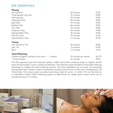### **SPA ESSENTIALS**

#### **Waxing**

| Full Leg Wax                                          | 60 minutes             | R320             |
|-------------------------------------------------------|------------------------|------------------|
| Three-quarter Leg Wax                                 | 45 minutes             | R300             |
| Half Leg Wax                                          | 30 minutes             | R <sub>260</sub> |
| Hollywood Wax                                         | 60 minutes             | R <sub>260</sub> |
| Back Wax                                              | 45 minutes             | R <sub>250</sub> |
| Brazilian Wax                                         | 60 minutes             | R <sub>220</sub> |
| Arm Wax                                               | 30 minutes             | R <sub>220</sub> |
| Underarm Wax                                          | 30 minutes             | R180             |
| Standard Bikini Wax                                   | 30 minutes             | R180             |
| Half Arm Wax                                          | 30 minutes             | R160             |
| Lip/Chin/Brow Wax                                     | 15 minutes             | R140             |
| <b>Tinting</b>                                        |                        |                  |
| Lash and Brow Tint                                    | 30 minutes             | R <sub>200</sub> |
| Lash Tint                                             | 15 minutes             | R140             |
| Brow                                                  | 15 minutes             | R140             |
| <b>Teeth Whitening</b>                                |                        |                  |
| 6 Session Program (advised to do every $1 - 2$ weeks) | 45 minutes per session | R4170            |
| 1 Power Session                                       | 45 minutes             | R795             |

This FDA approved, pain free treatment utilizes a 100% natural teeth whitening system to brighten and lift stains off natural teeth, crowns, veneers and dentures. The treatment utilises the latest UV blue light whitening technology to catalyse the teeth whitening process. The active ingredients are non-toxic, non-sensitising and peroxide free (Contains sodium bicarbonate and plant extracts such as Aloe Vera, Pomegranate, and Chamomile.) This unique system provides long lasting results for up to 12 months. This can be done as an intensified 6 session teeth whitening program or alternatively as a single power session which can be maintained every 6-12 months

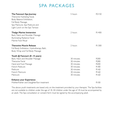# SPA PACKAGES

| The Fancourt Spa Journey<br>Theravine Hydrating Facial,<br>Body Balance Exfoliation,<br>Full Body Massage,<br>Spa Manicure, Spa Pedicure and<br>Light Lunch on the Spa Terrace | 5 hours                                                                                        | R3150                                                                        |
|--------------------------------------------------------------------------------------------------------------------------------------------------------------------------------|------------------------------------------------------------------------------------------------|------------------------------------------------------------------------------|
| <b>Thalgo Marine Immersion</b><br>Back, Neck and Shoulder Massage<br>Illuminating Radiance Facial<br>Marine Foot Ritual                                                        | 2 hours                                                                                        | R1400                                                                        |
| <b>Theravine Muscle Release</b><br>Full Body Exfoliation, Hydrotherapy Bath,<br>Body Wrap and Full Body Massage                                                                | 2 hours                                                                                        | R1300                                                                        |
| Youth @ Fancourt (8 -15 years)<br>Back, Neck and Shoulder Massage<br>Theravine Facial<br>Hand and Foot Massage<br>French Pedicure<br>Pedicure<br>French Manicure<br>Manicure   | 30 minutes<br>30 minutes<br>30 minutes<br>30 minutes<br>30 minutes<br>30 minutes<br>30 minutes | R300<br>R <sub>280</sub><br>R <sub>200</sub><br>R180<br>R160<br>R160<br>R160 |
| <b>Enhance your Experience</b><br>Mother/Father and Daughter/Son treatment                                                                                                     |                                                                                                | R100                                                                         |

The above youth treatments are based only on the treatment provided by your therapist. The Spa facilities are not available to children under the age of 18. All children under the age of 18 must be accompanied by an adult. The Spa consultation or consent form must be signed by the accompanying adult.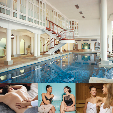